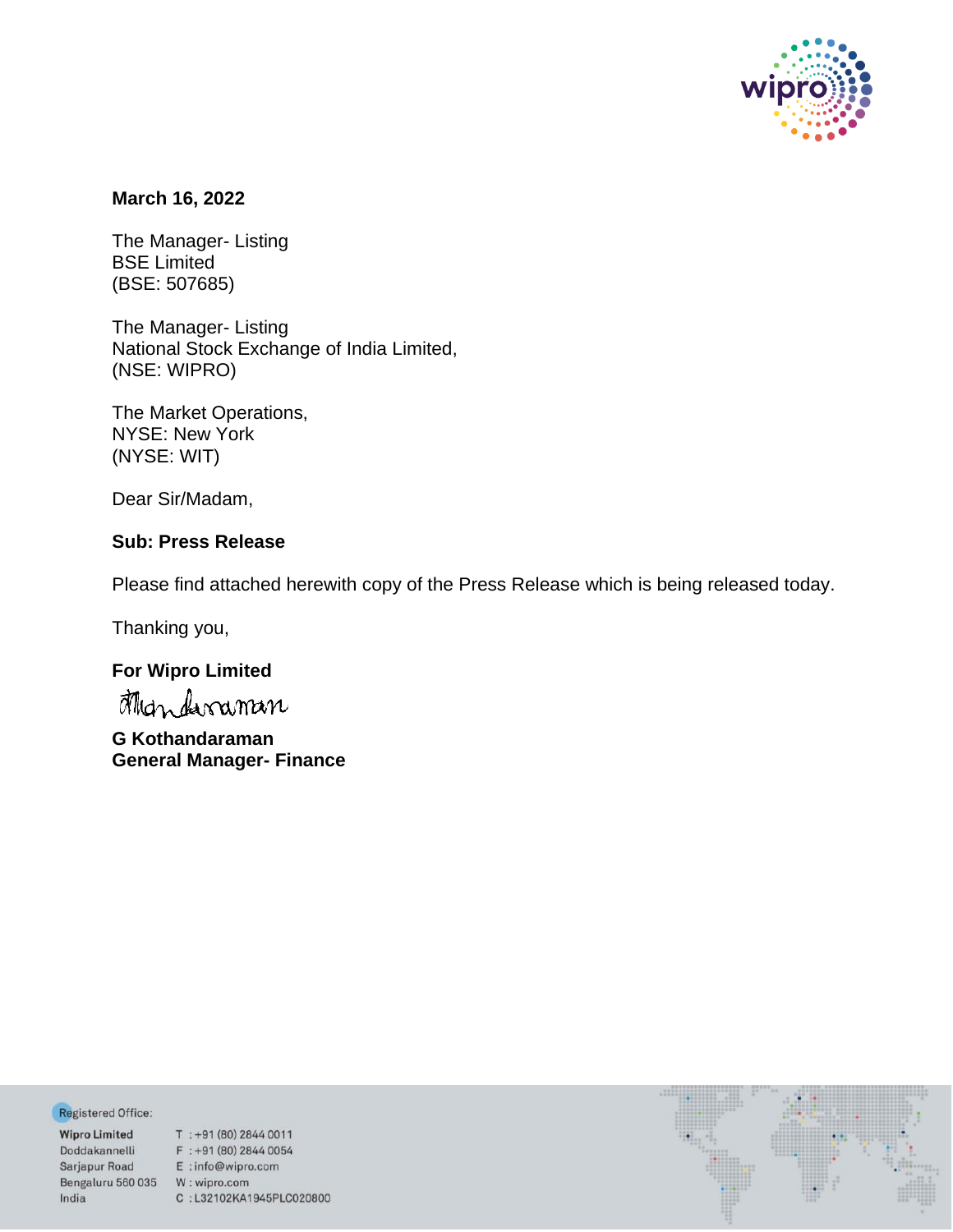

## **March 16, 2022**

The Manager- Listing BSE Limited (BSE: 507685)

The Manager- Listing National Stock Exchange of India Limited, (NSE: WIPRO)

The Market Operations, NYSE: New York (NYSE: WIT)

Dear Sir/Madam,

# **Sub: Press Release**

Please find attached herewith copy of the Press Release which is being released today.

Thanking you,

# **For Wipro Limited**

**G Kothandaraman General Manager- Finance**

Registered Office:

Bengaluru 560 035 W: wipro.com India

**Negistered Office:**<br> **Wipro Limited** T : +91 (80) 2844 0011<br>
Doddakannelli F : +91 (80) 2844 0054<br>
Sarjapur Road E : info@wipro.com C:L32102KA1945PLC020800

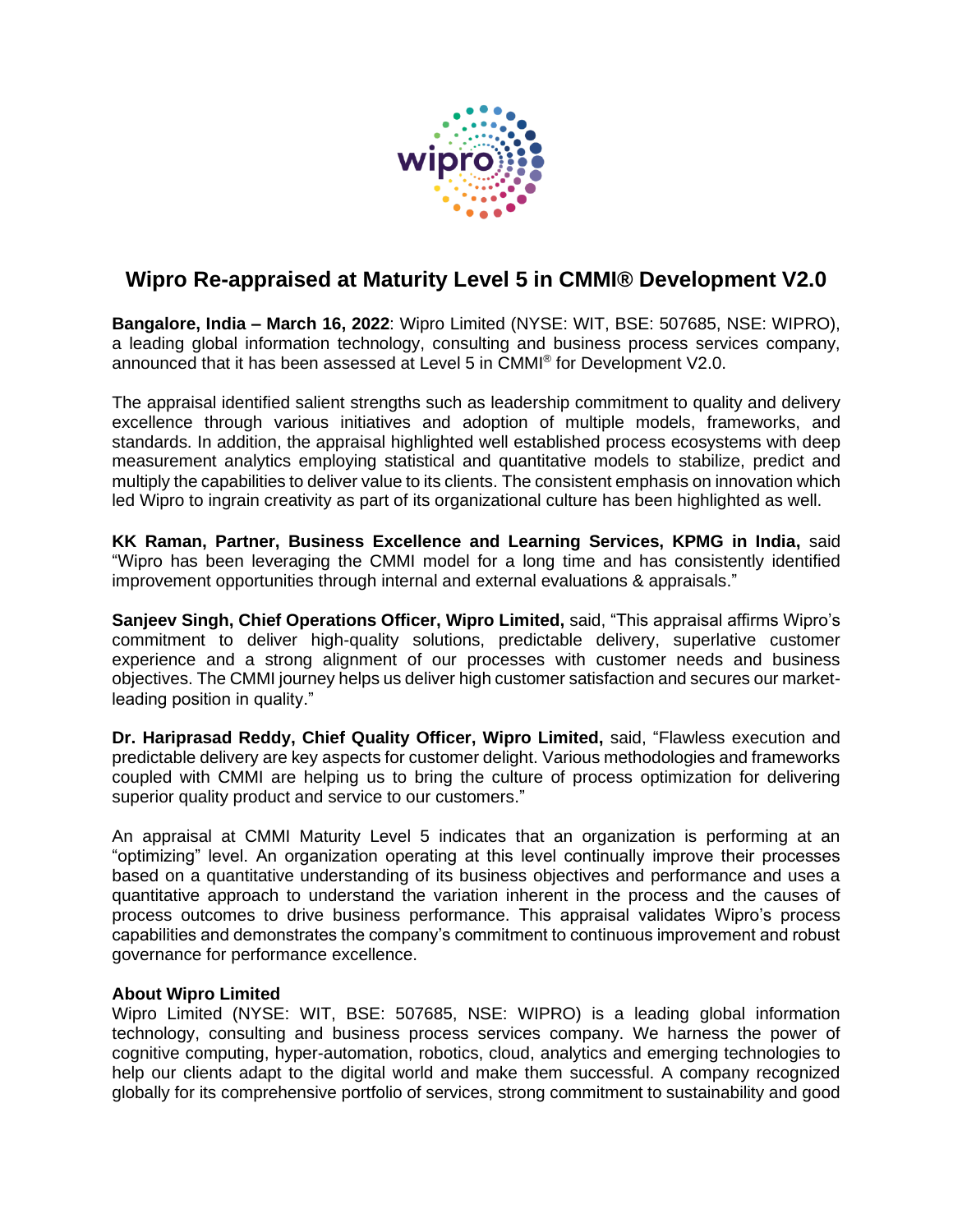

# **Wipro Re-appraised at Maturity Level 5 in CMMI® Development V2.0**

**Bangalore, India – March 16, 2022**: Wipro Limited (NYSE: WIT, BSE: 507685, NSE: WIPRO), a leading global information technology, consulting and business process services company, announced that it has been assessed at Level 5 in CMMI® for Development V2.0.

The appraisal identified salient strengths such as leadership commitment to quality and delivery excellence through various initiatives and adoption of multiple models, frameworks, and standards. In addition, the appraisal highlighted well established process ecosystems with deep measurement analytics employing statistical and quantitative models to stabilize, predict and multiply the capabilities to deliver value to its clients. The consistent emphasis on innovation which led Wipro to ingrain creativity as part of its organizational culture has been highlighted as well.

**KK Raman, Partner, Business Excellence and Learning Services, KPMG in India,** said "Wipro has been leveraging the CMMI model for a long time and has consistently identified improvement opportunities through internal and external evaluations & appraisals."

**Sanjeev Singh, Chief Operations Officer, Wipro Limited,** said, "This appraisal affirms Wipro's commitment to deliver high-quality solutions, predictable delivery, superlative customer experience and a strong alignment of our processes with customer needs and business objectives. The CMMI journey helps us deliver high customer satisfaction and secures our marketleading position in quality."

**Dr. Hariprasad Reddy, Chief Quality Officer, Wipro Limited,** said, "Flawless execution and predictable delivery are key aspects for customer delight. Various methodologies and frameworks coupled with CMMI are helping us to bring the culture of process optimization for delivering superior quality product and service to our customers."

An appraisal at CMMI Maturity Level 5 indicates that an organization is performing at an "optimizing" level. An organization operating at this level continually improve their processes based on a quantitative understanding of its business objectives and performance and uses a quantitative approach to understand the variation inherent in the process and the causes of process outcomes to drive business performance. This appraisal validates Wipro's process capabilities and demonstrates the company's commitment to continuous improvement and robust governance for performance excellence.

## **About Wipro Limited**

Wipro Limited (NYSE: WIT, BSE: 507685, NSE: WIPRO) is a leading global information technology, consulting and business process services company. We harness the power of cognitive computing, hyper-automation, robotics, cloud, analytics and emerging technologies to help our clients adapt to the digital world and make them successful. A company recognized globally for its comprehensive portfolio of services, strong commitment to sustainability and good